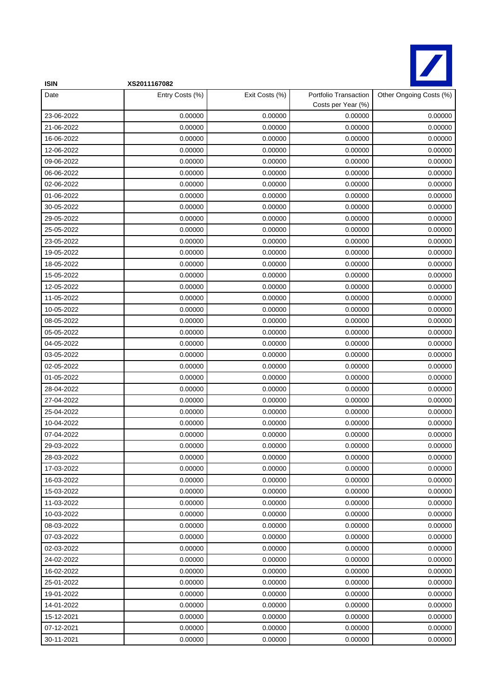

| <b>ISIN</b> | XS2011167082    |                |                                             |                         |
|-------------|-----------------|----------------|---------------------------------------------|-------------------------|
| Date        | Entry Costs (%) | Exit Costs (%) | Portfolio Transaction<br>Costs per Year (%) | Other Ongoing Costs (%) |
| 23-06-2022  | 0.00000         | 0.00000        | 0.00000                                     | 0.00000                 |
| 21-06-2022  | 0.00000         | 0.00000        | 0.00000                                     | 0.00000                 |
| 16-06-2022  | 0.00000         | 0.00000        | 0.00000                                     | 0.00000                 |
| 12-06-2022  | 0.00000         | 0.00000        | 0.00000                                     | 0.00000                 |
| 09-06-2022  | 0.00000         | 0.00000        | 0.00000                                     | 0.00000                 |
| 06-06-2022  | 0.00000         | 0.00000        | 0.00000                                     | 0.00000                 |
| 02-06-2022  | 0.00000         | 0.00000        | 0.00000                                     | 0.00000                 |
| 01-06-2022  | 0.00000         | 0.00000        | 0.00000                                     | 0.00000                 |
| 30-05-2022  | 0.00000         | 0.00000        | 0.00000                                     | 0.00000                 |
| 29-05-2022  | 0.00000         | 0.00000        | 0.00000                                     | 0.00000                 |
| 25-05-2022  | 0.00000         | 0.00000        | 0.00000                                     | 0.00000                 |
| 23-05-2022  | 0.00000         | 0.00000        | 0.00000                                     | 0.00000                 |
| 19-05-2022  | 0.00000         | 0.00000        | 0.00000                                     | 0.00000                 |
| 18-05-2022  | 0.00000         | 0.00000        | 0.00000                                     | 0.00000                 |
| 15-05-2022  | 0.00000         | 0.00000        | 0.00000                                     | 0.00000                 |
| 12-05-2022  | 0.00000         | 0.00000        | 0.00000                                     | 0.00000                 |
| 11-05-2022  | 0.00000         | 0.00000        | 0.00000                                     | 0.00000                 |
| 10-05-2022  | 0.00000         | 0.00000        | 0.00000                                     | 0.00000                 |
| 08-05-2022  | 0.00000         | 0.00000        | 0.00000                                     | 0.00000                 |
| 05-05-2022  | 0.00000         | 0.00000        | 0.00000                                     | 0.00000                 |
| 04-05-2022  | 0.00000         | 0.00000        | 0.00000                                     | 0.00000                 |
| 03-05-2022  | 0.00000         | 0.00000        | 0.00000                                     | 0.00000                 |
| 02-05-2022  | 0.00000         | 0.00000        | 0.00000                                     | 0.00000                 |
| 01-05-2022  | 0.00000         | 0.00000        | 0.00000                                     | 0.00000                 |
| 28-04-2022  | 0.00000         | 0.00000        | 0.00000                                     | 0.00000                 |
| 27-04-2022  | 0.00000         | 0.00000        | 0.00000                                     | 0.00000                 |
| 25-04-2022  | 0.00000         | 0.00000        | 0.00000                                     | 0.00000                 |
| 10-04-2022  | 0.00000         | 0.00000        | 0.00000                                     | 0.00000                 |
| 07-04-2022  | 0.00000         | 0.00000        | 0.00000                                     | 0.00000                 |
| 29-03-2022  | 0.00000         | 0.00000        | 0.00000                                     | 0.00000                 |
| 28-03-2022  | 0.00000         | 0.00000        | 0.00000                                     | 0.00000                 |
| 17-03-2022  | 0.00000         | 0.00000        | 0.00000                                     | 0.00000                 |
| 16-03-2022  | 0.00000         | 0.00000        | 0.00000                                     | 0.00000                 |
| 15-03-2022  | 0.00000         | 0.00000        | 0.00000                                     | 0.00000                 |
| 11-03-2022  | 0.00000         | 0.00000        | 0.00000                                     | 0.00000                 |
| 10-03-2022  | 0.00000         | 0.00000        | 0.00000                                     | 0.00000                 |
| 08-03-2022  | 0.00000         | 0.00000        | 0.00000                                     | 0.00000                 |
| 07-03-2022  | 0.00000         | 0.00000        | 0.00000                                     | 0.00000                 |
| 02-03-2022  | 0.00000         | 0.00000        | 0.00000                                     | 0.00000                 |
| 24-02-2022  | 0.00000         | 0.00000        | 0.00000                                     | 0.00000                 |
| 16-02-2022  | 0.00000         | 0.00000        | 0.00000                                     | 0.00000                 |
| 25-01-2022  | 0.00000         | 0.00000        | 0.00000                                     | 0.00000                 |
| 19-01-2022  | 0.00000         | 0.00000        | 0.00000                                     | 0.00000                 |
| 14-01-2022  | 0.00000         | 0.00000        | 0.00000                                     | 0.00000                 |
| 15-12-2021  | 0.00000         | 0.00000        | 0.00000                                     | 0.00000                 |
| 07-12-2021  | 0.00000         | 0.00000        | 0.00000                                     | 0.00000                 |
| 30-11-2021  | 0.00000         | 0.00000        | 0.00000                                     | 0.00000                 |